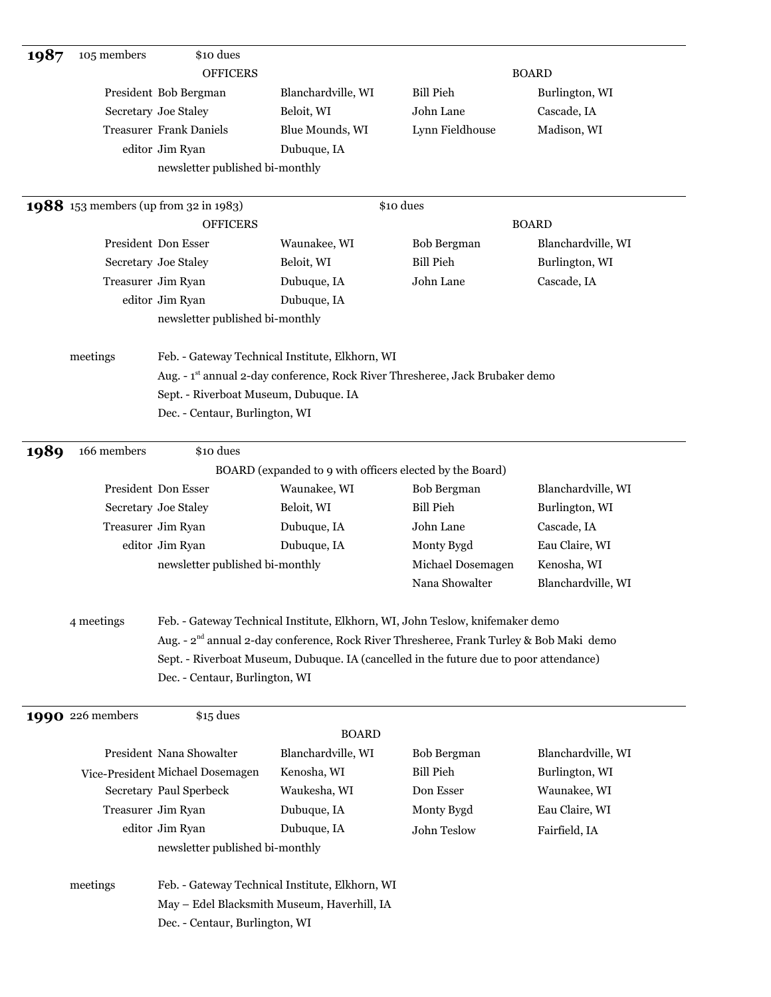| 1987 | 105 members             | \$10 dues                                    |                                                                                                     |                    |                    |
|------|-------------------------|----------------------------------------------|-----------------------------------------------------------------------------------------------------|--------------------|--------------------|
|      |                         | <b>OFFICERS</b>                              |                                                                                                     |                    | <b>BOARD</b>       |
|      |                         | President Bob Bergman                        | Blanchardville, WI                                                                                  | <b>Bill Pieh</b>   | Burlington, WI     |
|      |                         | Secretary Joe Staley                         | Beloit, WI                                                                                          | John Lane          | Cascade, IA        |
|      |                         | <b>Treasurer Frank Daniels</b>               | Blue Mounds, WI                                                                                     | Lynn Fieldhouse    | Madison, WI        |
|      |                         | editor Jim Ryan                              | Dubuque, IA                                                                                         |                    |                    |
|      |                         | newsletter published bi-monthly              |                                                                                                     |                    |                    |
|      |                         |                                              |                                                                                                     |                    |                    |
|      |                         | <b>1988</b> 153 members (up from 32 in 1983) |                                                                                                     | \$10 dues          |                    |
|      |                         | <b>OFFICERS</b>                              |                                                                                                     |                    | <b>BOARD</b>       |
|      |                         | President Don Esser                          | Waunakee, WI                                                                                        | Bob Bergman        | Blanchardville, WI |
|      |                         | Secretary Joe Staley                         | Beloit, WI                                                                                          | <b>Bill Pieh</b>   | Burlington, WI     |
|      | Treasurer Jim Ryan      |                                              | Dubuque, IA                                                                                         | John Lane          | Cascade, IA        |
|      |                         | editor Jim Ryan                              | Dubuque, IA                                                                                         |                    |                    |
|      |                         | newsletter published bi-monthly              |                                                                                                     |                    |                    |
|      |                         |                                              |                                                                                                     |                    |                    |
|      | meetings                |                                              | Feb. - Gateway Technical Institute, Elkhorn, WI                                                     |                    |                    |
|      |                         |                                              | Aug. - 1st annual 2-day conference, Rock River Thresheree, Jack Brubaker demo                       |                    |                    |
|      |                         | Sept. - Riverboat Museum, Dubuque. IA        |                                                                                                     |                    |                    |
|      |                         | Dec. - Centaur, Burlington, WI               |                                                                                                     |                    |                    |
|      |                         |                                              |                                                                                                     |                    |                    |
| 1989 | 166 members             | \$10 dues                                    |                                                                                                     |                    |                    |
|      |                         |                                              | BOARD (expanded to 9 with officers elected by the Board)                                            |                    |                    |
|      |                         | President Don Esser                          | Waunakee, WI                                                                                        | <b>Bob Bergman</b> | Blanchardville, WI |
|      |                         | Secretary Joe Staley                         | Beloit, WI                                                                                          | <b>Bill Pieh</b>   | Burlington, WI     |
|      | Treasurer Jim Ryan      |                                              | Dubuque, IA                                                                                         | John Lane          | Cascade, IA        |
|      |                         | editor Jim Ryan                              | Dubuque, IA                                                                                         | Monty Bygd         | Eau Claire, WI     |
|      |                         | newsletter published bi-monthly              |                                                                                                     | Michael Dosemagen  | Kenosha, WI        |
|      |                         |                                              |                                                                                                     | Nana Showalter     | Blanchardville, WI |
|      |                         |                                              |                                                                                                     |                    |                    |
|      | 4 meetings              |                                              | Feb. - Gateway Technical Institute, Elkhorn, WI, John Teslow, knifemaker demo                       |                    |                    |
|      |                         |                                              | Aug. - 2 <sup>nd</sup> annual 2-day conference, Rock River Thresheree, Frank Turley & Bob Maki demo |                    |                    |
|      |                         |                                              | Sept. - Riverboat Museum, Dubuque. IA (cancelled in the future due to poor attendance)              |                    |                    |
|      |                         | Dec. - Centaur, Burlington, WI               |                                                                                                     |                    |                    |
|      |                         |                                              |                                                                                                     |                    |                    |
|      | <b>1990</b> 226 members | \$15 dues                                    |                                                                                                     |                    |                    |
|      |                         |                                              | <b>BOARD</b>                                                                                        |                    |                    |
|      |                         | President Nana Showalter                     | Blanchardville, WI                                                                                  | Bob Bergman        | Blanchardville, WI |
|      |                         | Vice-President Michael Dosemagen             | Kenosha, WI                                                                                         | <b>Bill Pieh</b>   | Burlington, WI     |
|      |                         | Secretary Paul Sperbeck                      | Waukesha, WI                                                                                        | Don Esser          | Waunakee, WI       |
|      | Treasurer Jim Ryan      |                                              | Dubuque, IA                                                                                         | Monty Bygd         | Eau Claire, WI     |
|      |                         | editor Jim Ryan                              | Dubuque, IA                                                                                         | John Teslow        | Fairfield, IA      |
|      |                         | newsletter published bi-monthly              |                                                                                                     |                    |                    |
|      |                         |                                              |                                                                                                     |                    |                    |
|      | meetings                |                                              | Feb. - Gateway Technical Institute, Elkhorn, WI                                                     |                    |                    |
|      |                         |                                              | May - Edel Blacksmith Museum, Haverhill, IA                                                         |                    |                    |
|      |                         | Dec. - Centaur, Burlington, WI               |                                                                                                     |                    |                    |
|      |                         |                                              |                                                                                                     |                    |                    |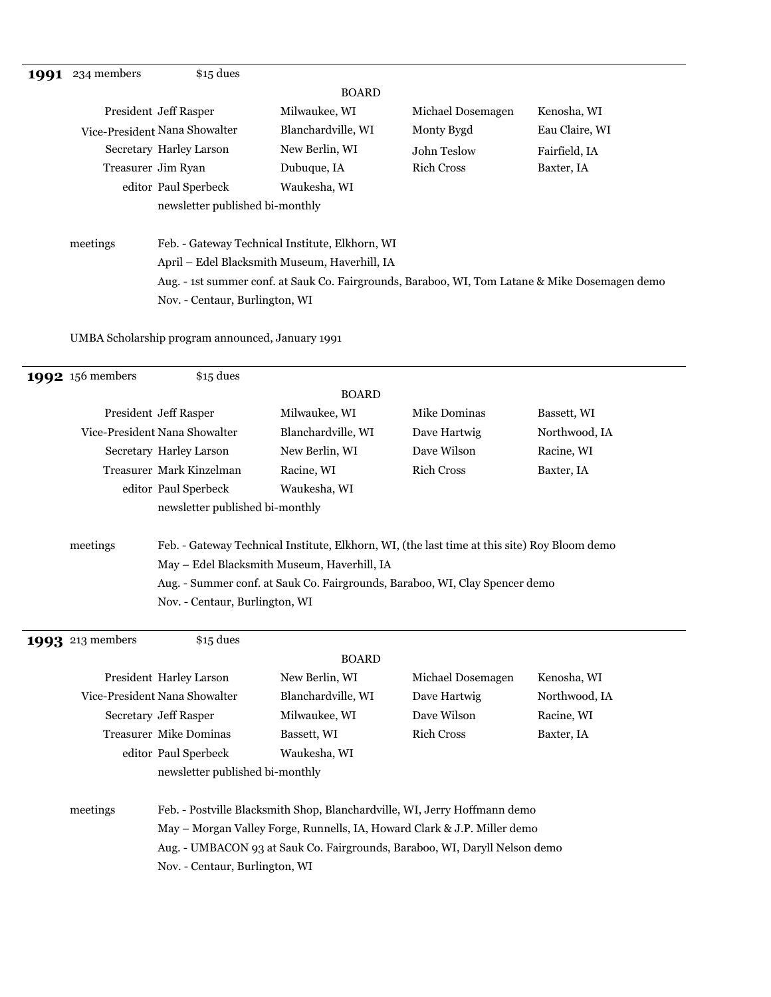|          | President Jeff Rasper                                                                          |                                 | <b>BOARD</b>                                    |                   |                |  |
|----------|------------------------------------------------------------------------------------------------|---------------------------------|-------------------------------------------------|-------------------|----------------|--|
|          |                                                                                                |                                 |                                                 |                   |                |  |
|          |                                                                                                |                                 | Milwaukee, WI                                   | Michael Dosemagen | Kenosha, WI    |  |
|          |                                                                                                | Vice-President Nana Showalter   | Blanchardville, WI                              | Monty Bygd        | Eau Claire, WI |  |
|          |                                                                                                | Secretary Harley Larson         | New Berlin, WI                                  | John Teslow       | Fairfield, IA  |  |
|          |                                                                                                | Treasurer Jim Ryan              | Dubuque, IA                                     | <b>Rich Cross</b> | Baxter, IA     |  |
|          |                                                                                                | editor Paul Sperbeck            | Waukesha, WI                                    |                   |                |  |
|          |                                                                                                | newsletter published bi-monthly |                                                 |                   |                |  |
| meetings |                                                                                                |                                 | Feb. - Gateway Technical Institute, Elkhorn, WI |                   |                |  |
|          |                                                                                                |                                 | April - Edel Blacksmith Museum, Haverhill, IA   |                   |                |  |
|          | Aug. - 1st summer conf. at Sauk Co. Fairgrounds, Baraboo, WI, Tom Latane & Mike Dosemagen demo |                                 |                                                 |                   |                |  |
|          |                                                                                                | Nov. - Centaur, Burlington, WI  |                                                 |                   |                |  |

UMBA Scholarship program announced, January 1991

| <b>1992</b> 156 members | \$15 dues                       |                                             |                                                                                              |               |
|-------------------------|---------------------------------|---------------------------------------------|----------------------------------------------------------------------------------------------|---------------|
|                         |                                 | <b>BOARD</b>                                |                                                                                              |               |
|                         | President Jeff Rasper           | Milwaukee, WI                               | Mike Dominas                                                                                 | Bassett, WI   |
|                         | Vice-President Nana Showalter   | Blanchardville, WI                          | Dave Hartwig                                                                                 | Northwood, IA |
|                         | Secretary Harley Larson         | New Berlin, WI                              | Dave Wilson                                                                                  | Racine, WI    |
|                         | Treasurer Mark Kinzelman        | Racine, WI                                  | <b>Rich Cross</b>                                                                            | Baxter, IA    |
|                         | editor Paul Sperbeck            | Waukesha, WI                                |                                                                                              |               |
|                         | newsletter published bi-monthly |                                             |                                                                                              |               |
| meetings                |                                 |                                             | Feb. - Gateway Technical Institute, Elkhorn, WI, (the last time at this site) Roy Bloom demo |               |
|                         |                                 | May - Edel Blacksmith Museum, Haverhill, IA |                                                                                              |               |
|                         |                                 |                                             | Aug. - Summer conf. at Sauk Co. Fairgrounds, Baraboo, WI, Clay Spencer demo                  |               |
|                         | Nov. - Centaur, Burlington, WI  |                                             |                                                                                              |               |
| <b>1993</b> 213 members | \$15 dues                       |                                             |                                                                                              |               |
|                         |                                 | <b>BOARD</b>                                |                                                                                              |               |
|                         | President Harley Larson         | New Berlin, WI                              | Michael Dosemagen                                                                            | Kenosha, WI   |
|                         | Vice-President Nana Showalter   | Blanchardville, WI                          | Dave Hartwig                                                                                 | Northwood, IA |
|                         | Secretary Jeff Rasper           | Milwaukee, WI                               | Dave Wilson                                                                                  | Racine, WI    |
|                         | <b>Treasurer Mike Dominas</b>   | Bassett, WI                                 | <b>Rich Cross</b>                                                                            | Baxter, IA    |
|                         | editor Paul Sperbeck            | Waukesha, WI                                |                                                                                              |               |
|                         | newsletter published bi-monthly |                                             |                                                                                              |               |
| meetings                |                                 |                                             | Feb. - Postville Blacksmith Shop, Blanchardville, WI, Jerry Hoffmann demo                    |               |
|                         |                                 |                                             | May - Morgan Valley Forge, Runnells, IA, Howard Clark & J.P. Miller demo                     |               |
|                         |                                 |                                             | Aug. - UMBACON 93 at Sauk Co. Fairgrounds, Baraboo, WI, Daryll Nelson demo                   |               |
|                         | Nov. - Centaur, Burlington, WI  |                                             |                                                                                              |               |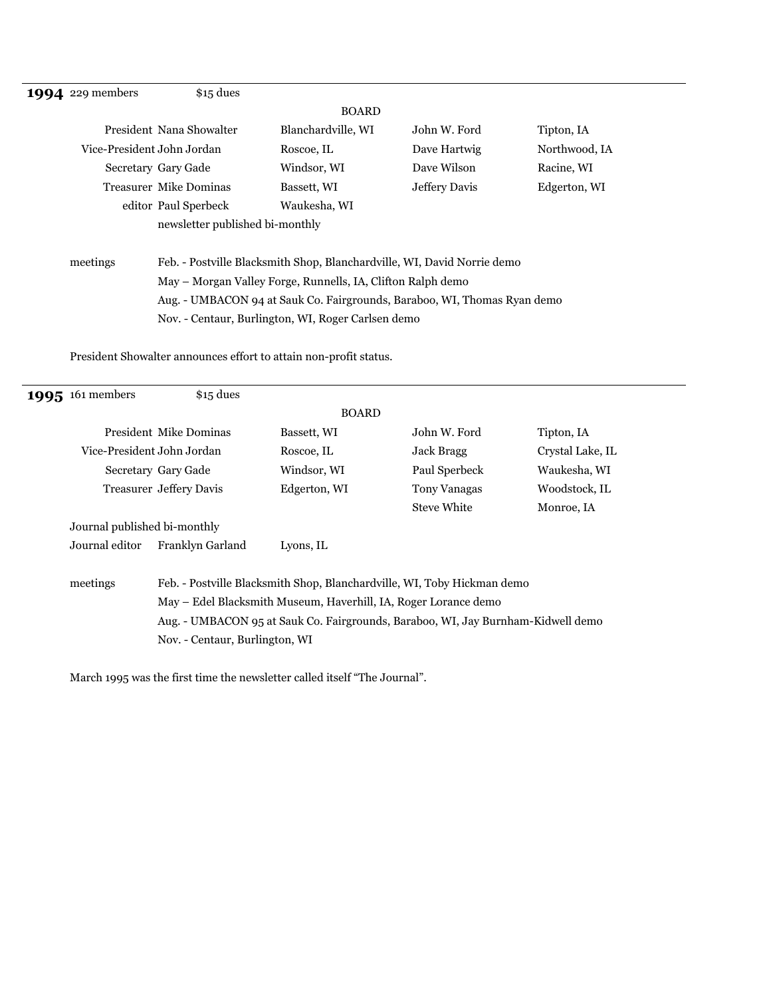| <b>1994</b> 229 members                                     | $$15$ dues                      |                                                                          |               |               |  |
|-------------------------------------------------------------|---------------------------------|--------------------------------------------------------------------------|---------------|---------------|--|
|                                                             |                                 | <b>BOARD</b>                                                             |               |               |  |
|                                                             | President Nana Showalter        | Blanchardville, WI                                                       | John W. Ford  | Tipton, IA    |  |
| Vice-President John Jordan                                  |                                 | Roscoe, IL                                                               | Dave Hartwig  | Northwood, IA |  |
|                                                             | Secretary Gary Gade             | Windsor, WI                                                              | Dave Wilson   | Racine, WI    |  |
|                                                             | <b>Treasurer Mike Dominas</b>   | Bassett, WI                                                              | Jeffery Davis | Edgerton, WI  |  |
|                                                             | editor Paul Sperbeck            | Waukesha, WI                                                             |               |               |  |
|                                                             | newsletter published bi-monthly |                                                                          |               |               |  |
| meetings                                                    |                                 | Feb. - Postville Blacksmith Shop, Blanchardville, WI, David Norrie demo  |               |               |  |
| May – Morgan Valley Forge, Runnells, IA, Clifton Ralph demo |                                 |                                                                          |               |               |  |
|                                                             |                                 | Aug. - UMBACON 94 at Sauk Co. Fairgrounds, Baraboo, WI, Thomas Ryan demo |               |               |  |
|                                                             |                                 | Nov. - Centaur, Burlington, WI, Roger Carlsen demo                       |               |               |  |

President Showalter announces effort to attain non-profit status.

| <b>1995</b> 161 members      | $$15$ dues                     |                                                                                  |                     |                  |
|------------------------------|--------------------------------|----------------------------------------------------------------------------------|---------------------|------------------|
|                              |                                | <b>BOARD</b>                                                                     |                     |                  |
|                              | President Mike Dominas         | Bassett, WI                                                                      | John W. Ford        | Tipton, IA       |
| Vice-President John Jordan   |                                | Roscoe, IL                                                                       | Jack Bragg          | Crystal Lake, IL |
|                              | Secretary Gary Gade            | Windsor, WI                                                                      | Paul Sperbeck       | Waukesha, WI     |
|                              | <b>Treasurer Jeffery Davis</b> | Edgerton, WI                                                                     | <b>Tony Vanagas</b> | Woodstock, IL    |
|                              |                                |                                                                                  | <b>Steve White</b>  | Monroe, IA       |
| Journal published bi-monthly |                                |                                                                                  |                     |                  |
| Journal editor               | Franklyn Garland               | Lyons, IL                                                                        |                     |                  |
|                              |                                |                                                                                  |                     |                  |
| meetings                     |                                | Feb. - Postville Blacksmith Shop, Blanchardville, WI, Toby Hickman demo          |                     |                  |
|                              |                                | May – Edel Blacksmith Museum, Haverhill, IA, Roger Lorance demo                  |                     |                  |
|                              |                                | Aug. - UMBACON 95 at Sauk Co. Fairgrounds, Baraboo, WI, Jay Burnham-Kidwell demo |                     |                  |
|                              | Nov. - Centaur, Burlington, WI |                                                                                  |                     |                  |
|                              |                                |                                                                                  |                     |                  |

March 1995 was the first time the newsletter called itself "The Journal".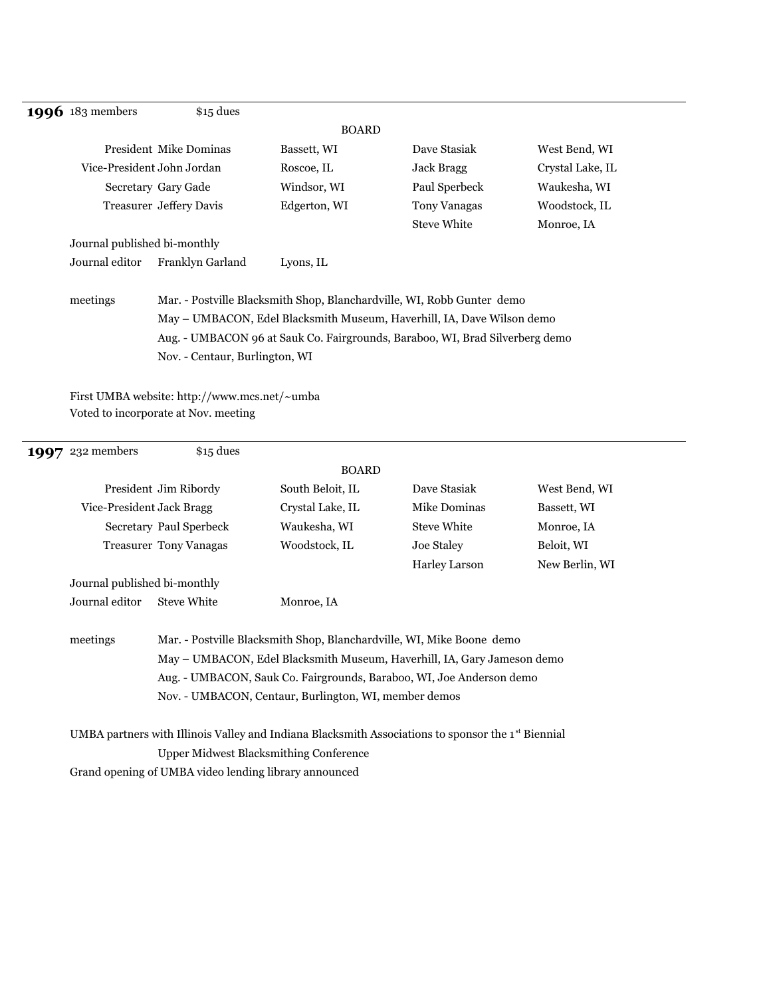#### **1996** 183 members \$15 dues

|                              |                                                                                                                                                  | <b>BOARD</b> |                     |                  |  |
|------------------------------|--------------------------------------------------------------------------------------------------------------------------------------------------|--------------|---------------------|------------------|--|
|                              | <b>President Mike Dominas</b>                                                                                                                    | Bassett, WI  | Dave Stasiak        | West Bend, WI    |  |
|                              | Vice-President John Jordan                                                                                                                       | Roscoe, IL   | Jack Bragg          | Crystal Lake, IL |  |
|                              | Secretary Gary Gade                                                                                                                              | Windsor, WI  | Paul Sperbeck       | Waukesha, WI     |  |
|                              | <b>Treasurer Jeffery Davis</b>                                                                                                                   | Edgerton, WI | <b>Tony Vanagas</b> | Woodstock, IL    |  |
|                              |                                                                                                                                                  |              | <b>Steve White</b>  | Monroe, IA       |  |
| Journal published bi-monthly |                                                                                                                                                  |              |                     |                  |  |
| Journal editor               | Franklyn Garland                                                                                                                                 | Lyons, IL    |                     |                  |  |
| meetings                     | Mar. - Postville Blacksmith Shop, Blanchardville, WI, Robb Gunter demo<br>May - UMBACON, Edel Blacksmith Museum, Haverhill, IA, Dave Wilson demo |              |                     |                  |  |
|                              | Aug. - UMBACON 96 at Sauk Co. Fairgrounds, Baraboo, WI, Brad Silverberg demo                                                                     |              |                     |                  |  |

Nov. - Centaur, Burlington, WI

First UMBA website: http://www.mcs.net/~umba Voted to incorporate at Nov. meeting

| <b>1997</b> 232 members      | $$15$ dues                    |                                                       |                                                                                                                                                  |                |
|------------------------------|-------------------------------|-------------------------------------------------------|--------------------------------------------------------------------------------------------------------------------------------------------------|----------------|
|                              |                               | <b>BOARD</b>                                          |                                                                                                                                                  |                |
|                              | President Jim Ribordy         | South Beloit, IL                                      | Dave Stasiak                                                                                                                                     | West Bend, WI  |
| Vice-President Jack Bragg    |                               | Crystal Lake, IL                                      | Mike Dominas                                                                                                                                     | Bassett, WI    |
|                              | Secretary Paul Sperbeck       | Waukesha, WI                                          | <b>Steve White</b>                                                                                                                               | Monroe, IA     |
|                              | <b>Treasurer Tony Vanagas</b> | Woodstock, IL                                         | Joe Staley                                                                                                                                       | Beloit, WI     |
|                              |                               |                                                       | Harley Larson                                                                                                                                    | New Berlin, WI |
| Journal published bi-monthly |                               |                                                       |                                                                                                                                                  |                |
| Journal editor               | <b>Steve White</b>            | Monroe, IA                                            |                                                                                                                                                  |                |
| meetings                     |                               |                                                       | Mar. - Postville Blacksmith Shop, Blanchardville, WI, Mike Boone demo<br>May – UMBACON, Edel Blacksmith Museum, Haverhill, IA, Gary Jameson demo |                |
|                              |                               |                                                       | Aug. - UMBACON, Sauk Co. Fairgrounds, Baraboo, WI, Joe Anderson demo                                                                             |                |
|                              |                               |                                                       |                                                                                                                                                  |                |
|                              |                               | Nov. - UMBACON, Centaur, Burlington, WI, member demos |                                                                                                                                                  |                |
|                              |                               |                                                       | UMBA partners with Illinois Valley and Indiana Blacksmith Associations to sponsor the 1 <sup>st</sup> Biennial                                   |                |
|                              |                               | <b>Upper Midwest Blacksmithing Conference</b>         |                                                                                                                                                  |                |

Grand opening of UMBA video lending library announced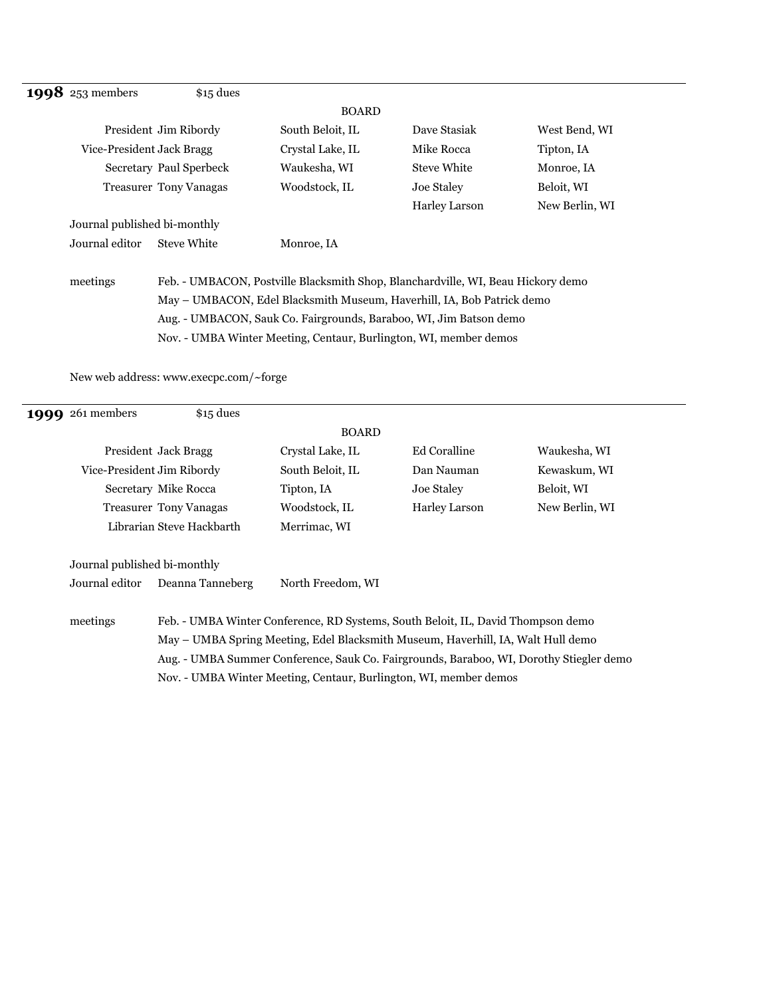| 1998 253 members                                                                                                                                                                                                                             | $$15$ dues                    |                  |                      |                |  |  |  |                                                                   |  |  |
|----------------------------------------------------------------------------------------------------------------------------------------------------------------------------------------------------------------------------------------------|-------------------------------|------------------|----------------------|----------------|--|--|--|-------------------------------------------------------------------|--|--|
|                                                                                                                                                                                                                                              |                               | <b>BOARD</b>     |                      |                |  |  |  |                                                                   |  |  |
|                                                                                                                                                                                                                                              | President Jim Ribordy         | South Beloit, IL | Dave Stasiak         | West Bend, WI  |  |  |  |                                                                   |  |  |
| Vice-President Jack Bragg                                                                                                                                                                                                                    |                               | Crystal Lake, IL | Mike Rocca           | Tipton, IA     |  |  |  |                                                                   |  |  |
|                                                                                                                                                                                                                                              | Secretary Paul Sperbeck       | Waukesha, WI     | <b>Steve White</b>   | Monroe, IA     |  |  |  |                                                                   |  |  |
|                                                                                                                                                                                                                                              | <b>Treasurer Tony Vanagas</b> | Woodstock, IL    | Joe Staley           | Beloit, WI     |  |  |  |                                                                   |  |  |
|                                                                                                                                                                                                                                              |                               |                  | <b>Harley Larson</b> | New Berlin, WI |  |  |  |                                                                   |  |  |
| Journal published bi-monthly                                                                                                                                                                                                                 |                               |                  |                      |                |  |  |  |                                                                   |  |  |
| Journal editor                                                                                                                                                                                                                               | <b>Steve White</b>            | Monroe, IA       |                      |                |  |  |  |                                                                   |  |  |
| meetings<br>Feb. - UMBACON, Postville Blacksmith Shop, Blanchardville, WI, Beau Hickory demo<br>May – UMBACON, Edel Blacksmith Museum, Haverhill, IA, Bob Patrick demo<br>Aug. - UMBACON, Sauk Co. Fairgrounds, Baraboo, WI, Jim Batson demo |                               |                  |                      |                |  |  |  |                                                                   |  |  |
|                                                                                                                                                                                                                                              |                               |                  |                      |                |  |  |  | Nov. - UMBA Winter Meeting, Centaur, Burlington, WI, member demos |  |  |

New web address: www.execpc.com/~forge

| <b>1999</b> 261 members      | $$15$ dues                                                                                                                                                           |                   |                     |                |  |
|------------------------------|----------------------------------------------------------------------------------------------------------------------------------------------------------------------|-------------------|---------------------|----------------|--|
|                              |                                                                                                                                                                      | <b>BOARD</b>      |                     |                |  |
|                              | President Jack Bragg                                                                                                                                                 | Crystal Lake, IL  | <b>Ed Coralline</b> | Waukesha, WI   |  |
|                              | Vice-President Jim Ribordy                                                                                                                                           | South Beloit, IL  | Dan Nauman          | Kewaskum, WI   |  |
|                              | Secretary Mike Rocca                                                                                                                                                 | Tipton, IA        | Joe Staley          | Beloit, WI     |  |
|                              | <b>Treasurer Tony Vanagas</b>                                                                                                                                        | Woodstock, IL     | Harley Larson       | New Berlin, WI |  |
|                              | Librarian Steve Hackbarth                                                                                                                                            | Merrimac, WI      |                     |                |  |
| Journal published bi-monthly |                                                                                                                                                                      |                   |                     |                |  |
| Journal editor               | Deanna Tanneberg                                                                                                                                                     | North Freedom, WI |                     |                |  |
| meetings                     | Feb. - UMBA Winter Conference, RD Systems, South Beloit, IL, David Thompson demo<br>May – UMBA Spring Meeting, Edel Blacksmith Museum, Haverhill, IA, Walt Hull demo |                   |                     |                |  |

Aug. - UMBA Summer Conference, Sauk Co. Fairgrounds, Baraboo, WI, Dorothy Stiegler demo Nov. - UMBA Winter Meeting, Centaur, Burlington, WI, member demos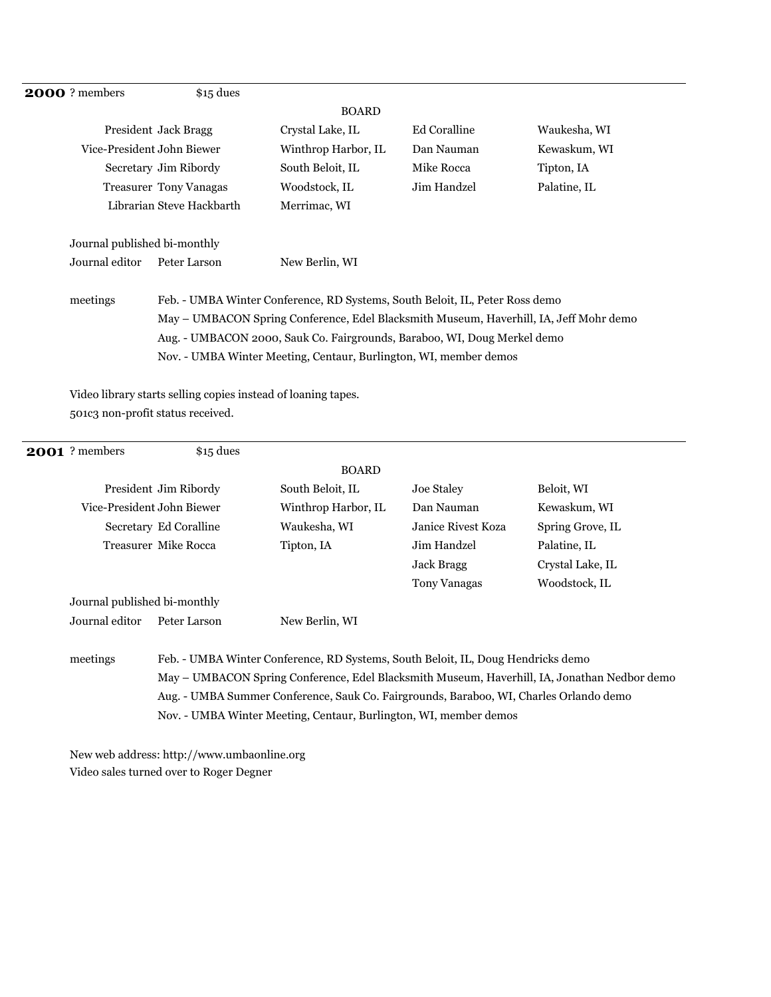| <b>2000</b> ? members        | $$15$ dues                                                                             |                                                                          |              |              |  |  |
|------------------------------|----------------------------------------------------------------------------------------|--------------------------------------------------------------------------|--------------|--------------|--|--|
|                              |                                                                                        | <b>BOARD</b>                                                             |              |              |  |  |
|                              | President Jack Bragg                                                                   | Crystal Lake, IL                                                         | Ed Coralline | Waukesha, WI |  |  |
|                              | Vice-President John Biewer                                                             | Winthrop Harbor, IL                                                      | Dan Nauman   | Kewaskum, WI |  |  |
|                              | Secretary Jim Ribordy                                                                  | South Beloit, IL                                                         | Mike Rocca   | Tipton, IA   |  |  |
|                              | <b>Treasurer Tony Vanagas</b>                                                          | Woodstock, IL                                                            | Jim Handzel  | Palatine, IL |  |  |
|                              | Librarian Steve Hackbarth                                                              | Merrimac, WI                                                             |              |              |  |  |
| Journal published bi-monthly |                                                                                        |                                                                          |              |              |  |  |
| Journal editor               | Peter Larson                                                                           | New Berlin, WI                                                           |              |              |  |  |
| meetings                     | Feb. - UMBA Winter Conference, RD Systems, South Beloit, IL, Peter Ross demo           |                                                                          |              |              |  |  |
|                              | May – UMBACON Spring Conference, Edel Blacksmith Museum, Haverhill, IA, Jeff Mohr demo |                                                                          |              |              |  |  |
|                              |                                                                                        | Aug. - UMBACON 2000, Sauk Co. Fairgrounds, Baraboo, WI, Doug Merkel demo |              |              |  |  |

Nov. - UMBA Winter Meeting, Centaur, Burlington, WI, member demos

Video library starts selling copies instead of loaning tapes. 501c3 non-profit status received.

| <b>2001</b> ? members        | $$15$ dues             |                                                                                        |                     |                                                                                              |
|------------------------------|------------------------|----------------------------------------------------------------------------------------|---------------------|----------------------------------------------------------------------------------------------|
|                              |                        | <b>BOARD</b>                                                                           |                     |                                                                                              |
|                              | President Jim Ribordy  | South Beloit, IL                                                                       | Joe Staley          | Beloit, WI                                                                                   |
| Vice-President John Biewer   |                        | Winthrop Harbor, IL                                                                    | Dan Nauman          | Kewaskum, WI                                                                                 |
|                              | Secretary Ed Coralline | Waukesha, WI                                                                           | Janice Rivest Koza  | Spring Grove, IL                                                                             |
|                              | Treasurer Mike Rocca   | Tipton, IA                                                                             | Jim Handzel         | Palatine, IL                                                                                 |
|                              |                        |                                                                                        | Jack Bragg          | Crystal Lake, IL                                                                             |
|                              |                        |                                                                                        | <b>Tony Vanagas</b> | Woodstock, IL                                                                                |
| Journal published bi-monthly |                        |                                                                                        |                     |                                                                                              |
| Journal editor               | Peter Larson           | New Berlin, WI                                                                         |                     |                                                                                              |
|                              |                        |                                                                                        |                     |                                                                                              |
| meetings                     |                        | Feb. - UMBA Winter Conference, RD Systems, South Beloit, IL, Doug Hendricks demo       |                     |                                                                                              |
|                              |                        |                                                                                        |                     | May – UMBACON Spring Conference, Edel Blacksmith Museum, Haverhill, IA, Jonathan Nedbor demo |
|                              |                        | Aug. - UMBA Summer Conference, Sauk Co. Fairgrounds, Baraboo, WI, Charles Orlando demo |                     |                                                                                              |
|                              |                        | Nov. - UMBA Winter Meeting, Centaur, Burlington, WI, member demos                      |                     |                                                                                              |
|                              |                        |                                                                                        |                     |                                                                                              |

New web address: http://www.umbaonline.org Video sales turned over to Roger Degner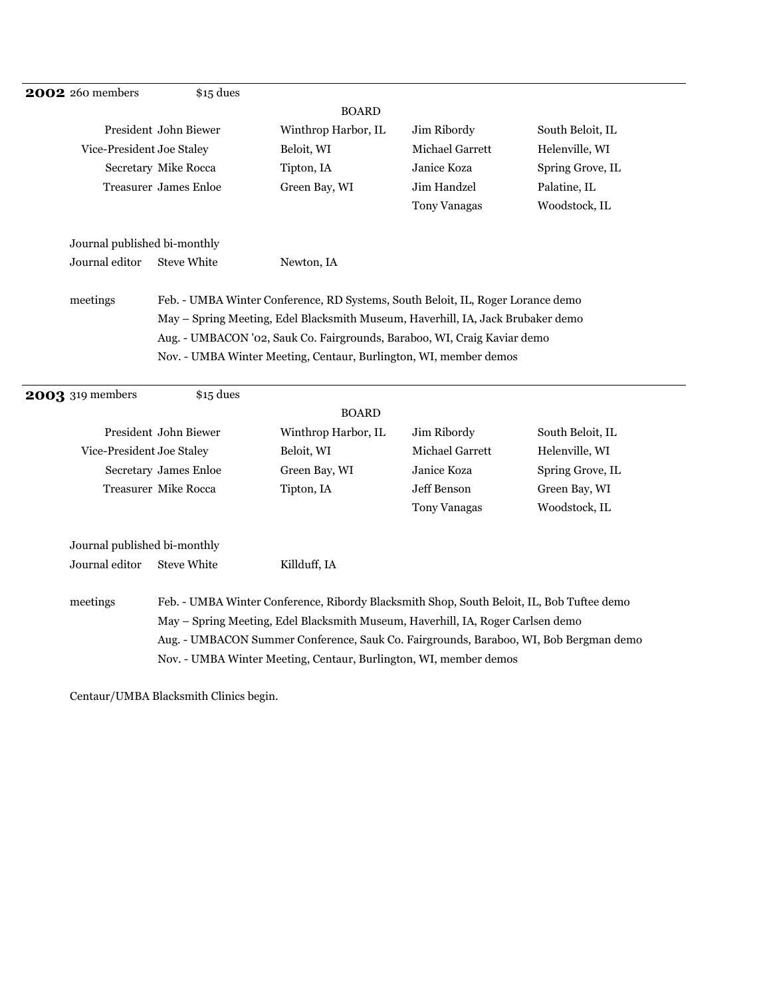| <b>2002</b> 260 members      | $$15$ dues                                                                                                                                                                                                                                     |                                                                   |                        |                  |  |
|------------------------------|------------------------------------------------------------------------------------------------------------------------------------------------------------------------------------------------------------------------------------------------|-------------------------------------------------------------------|------------------------|------------------|--|
|                              |                                                                                                                                                                                                                                                | <b>BOARD</b>                                                      |                        |                  |  |
|                              | President John Biewer                                                                                                                                                                                                                          | Winthrop Harbor, IL                                               | Jim Ribordy            | South Beloit, IL |  |
| Vice-President Joe Staley    |                                                                                                                                                                                                                                                | Beloit, WI                                                        | <b>Michael Garrett</b> | Helenville, WI   |  |
|                              | Secretary Mike Rocca                                                                                                                                                                                                                           | Tipton, IA                                                        | Janice Koza            | Spring Grove, IL |  |
|                              | Treasurer James Enloe                                                                                                                                                                                                                          | Green Bay, WI                                                     | Jim Handzel            | Palatine, IL     |  |
|                              |                                                                                                                                                                                                                                                |                                                                   | <b>Tony Vanagas</b>    | Woodstock, IL    |  |
| Journal published bi-monthly |                                                                                                                                                                                                                                                |                                                                   |                        |                  |  |
| Journal editor               | <b>Steve White</b>                                                                                                                                                                                                                             | Newton, IA                                                        |                        |                  |  |
| meetings                     | Feb. - UMBA Winter Conference, RD Systems, South Beloit, IL, Roger Lorance demo<br>May - Spring Meeting, Edel Blacksmith Museum, Haverhill, IA, Jack Brubaker demo<br>Aug. - UMBACON '02, Sauk Co. Fairgrounds, Baraboo, WI, Craig Kaviar demo |                                                                   |                        |                  |  |
|                              |                                                                                                                                                                                                                                                |                                                                   |                        |                  |  |
|                              |                                                                                                                                                                                                                                                |                                                                   |                        |                  |  |
|                              |                                                                                                                                                                                                                                                | Nov. - UMBA Winter Meeting, Centaur, Burlington, WI, member demos |                        |                  |  |

| <b>2003</b> 319 members      | $$15$ dues            |                                                                                           |                        |                  |
|------------------------------|-----------------------|-------------------------------------------------------------------------------------------|------------------------|------------------|
|                              |                       | <b>BOARD</b>                                                                              |                        |                  |
|                              | President John Biewer | Winthrop Harbor, IL                                                                       | Jim Ribordy            | South Beloit, IL |
| Vice-President Joe Staley    |                       | Beloit, WI                                                                                | <b>Michael Garrett</b> | Helenville, WI   |
|                              | Secretary James Enloe | Green Bay, WI                                                                             | Janice Koza            | Spring Grove, IL |
|                              | Treasurer Mike Rocca  | Tipton, IA                                                                                | Jeff Benson            | Green Bay, WI    |
|                              |                       |                                                                                           | <b>Tony Vanagas</b>    | Woodstock, IL    |
| Journal published bi-monthly |                       |                                                                                           |                        |                  |
| Journal editor               | <b>Steve White</b>    | Killduff, IA                                                                              |                        |                  |
| meetings                     |                       | Feb. - UMBA Winter Conference, Ribordy Blacksmith Shop, South Beloit, IL, Bob Tuftee demo |                        |                  |
|                              |                       | May – Spring Meeting, Edel Blacksmith Museum, Haverhill, IA, Roger Carlsen demo           |                        |                  |
|                              |                       | Aug. - UMBACON Summer Conference, Sauk Co. Fairgrounds, Baraboo, WI, Bob Bergman demo     |                        |                  |
|                              |                       | Nov. - UMBA Winter Meeting, Centaur, Burlington, WI, member demos                         |                        |                  |

Centaur/UMBA Blacksmith Clinics begin.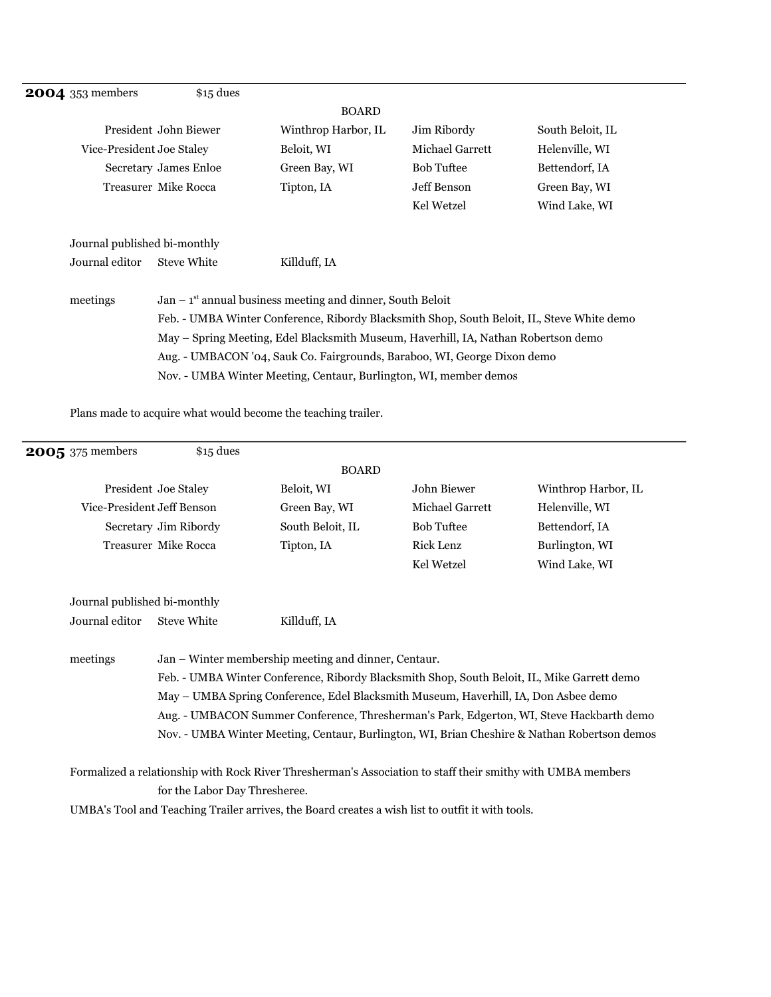# **2004** 353 members \$15 dues

#### BOARD

|                              | President John Biewer | Winthrop Harbor, IL                                                                                                                                                                                                                                                                                                          | Jim Ribordy            | South Beloit, IL |
|------------------------------|-----------------------|------------------------------------------------------------------------------------------------------------------------------------------------------------------------------------------------------------------------------------------------------------------------------------------------------------------------------|------------------------|------------------|
| Vice-President Joe Staley    |                       | Beloit, WI                                                                                                                                                                                                                                                                                                                   | <b>Michael Garrett</b> | Helenville, WI   |
|                              | Secretary James Enloe | Green Bay, WI                                                                                                                                                                                                                                                                                                                | <b>Bob Tuftee</b>      | Bettendorf, IA   |
|                              | Treasurer Mike Rocca  | Tipton, IA                                                                                                                                                                                                                                                                                                                   | Jeff Benson            | Green Bay, WI    |
|                              |                       |                                                                                                                                                                                                                                                                                                                              | Kel Wetzel             | Wind Lake, WI    |
| Journal published bi-monthly |                       |                                                                                                                                                                                                                                                                                                                              |                        |                  |
| Journal editor               | <b>Steve White</b>    | Killduff, IA                                                                                                                                                                                                                                                                                                                 |                        |                  |
| meetings                     |                       | $Jan - 1st$ annual business meeting and dinner, South Beloit<br>Feb. - UMBA Winter Conference, Ribordy Blacksmith Shop, South Beloit, IL, Steve White demo<br>May - Spring Meeting, Edel Blacksmith Museum, Haverhill, IA, Nathan Robertson demo<br>Aug. - UMBACON '04, Sauk Co. Fairgrounds, Baraboo, WI, George Dixon demo |                        |                  |
|                              |                       | Nov. - UMBA Winter Meeting, Centaur, Burlington, WI, member demos                                                                                                                                                                                                                                                            |                        |                  |

Plans made to acquire what would become the teaching trailer.

| 2005 375 members             | $$15$ dues                                                                               |                                                                                                             |                   |                     |  |  |
|------------------------------|------------------------------------------------------------------------------------------|-------------------------------------------------------------------------------------------------------------|-------------------|---------------------|--|--|
|                              |                                                                                          | <b>BOARD</b>                                                                                                |                   |                     |  |  |
|                              | President Joe Staley                                                                     | Beloit, WI                                                                                                  | John Biewer       | Winthrop Harbor, IL |  |  |
| Vice-President Jeff Benson   |                                                                                          | Green Bay, WI                                                                                               | Michael Garrett   | Helenville, WI      |  |  |
|                              | Secretary Jim Ribordy                                                                    | South Beloit, IL                                                                                            | <b>Bob Tuftee</b> | Bettendorf, IA      |  |  |
|                              | <b>Treasurer Mike Rocca</b>                                                              | Tipton, IA                                                                                                  | <b>Rick Lenz</b>  | Burlington, WI      |  |  |
|                              |                                                                                          |                                                                                                             | Kel Wetzel        | Wind Lake, WI       |  |  |
| Journal published bi-monthly |                                                                                          |                                                                                                             |                   |                     |  |  |
| Journal editor               | <b>Steve White</b>                                                                       | Killduff, IA                                                                                                |                   |                     |  |  |
| meetings                     |                                                                                          | Jan – Winter membership meeting and dinner, Centaur.                                                        |                   |                     |  |  |
|                              |                                                                                          | Feb. - UMBA Winter Conference, Ribordy Blacksmith Shop, South Beloit, IL, Mike Garrett demo                 |                   |                     |  |  |
|                              | May - UMBA Spring Conference, Edel Blacksmith Museum, Haverhill, IA, Don Asbee demo      |                                                                                                             |                   |                     |  |  |
|                              | Aug. - UMBACON Summer Conference, Thresherman's Park, Edgerton, WI, Steve Hackbarth demo |                                                                                                             |                   |                     |  |  |
|                              |                                                                                          | Nov. - UMBA Winter Meeting, Centaur, Burlington, WI, Brian Cheshire & Nathan Robertson demos                |                   |                     |  |  |
|                              |                                                                                          | Formalized a relationship with Rock River Thresherman's Association to staff their smithy with UMBA members |                   |                     |  |  |
|                              | for the Labor Day Thresheree.                                                            |                                                                                                             |                   |                     |  |  |
|                              |                                                                                          | UMBA's Tool and Teaching Trailer arrives, the Board creates a wish list to outfit it with tools.            |                   |                     |  |  |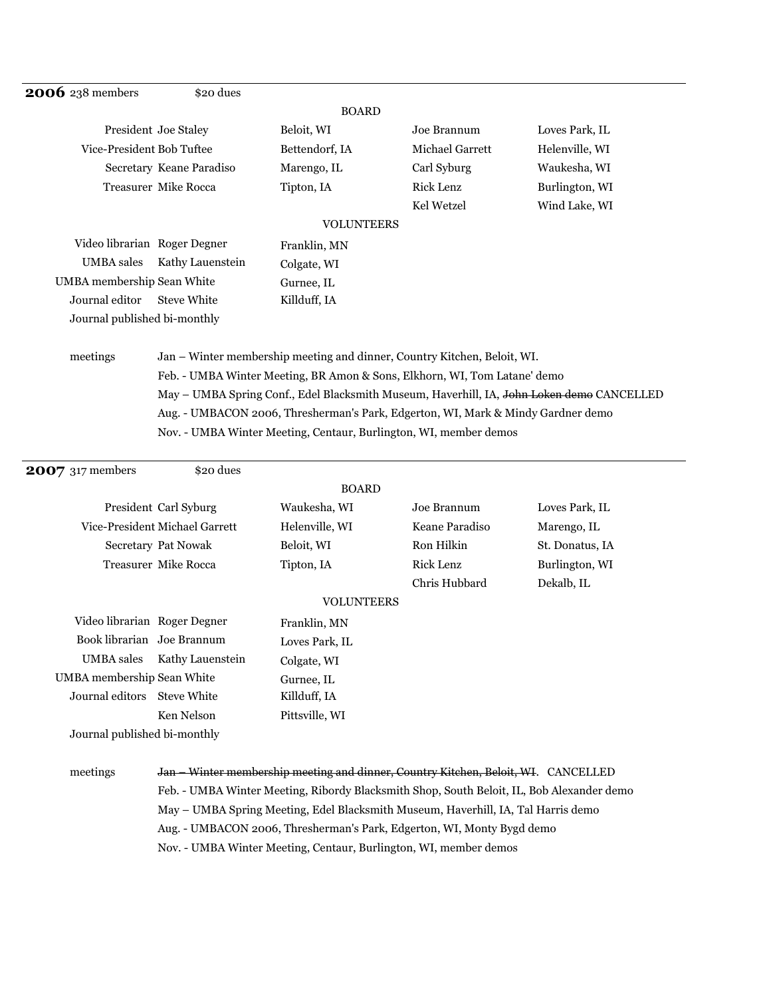| <b>2006</b> 238 members      | \$20 dues                                                                 |                   |                                                                          |                                                                                                       |  |
|------------------------------|---------------------------------------------------------------------------|-------------------|--------------------------------------------------------------------------|-------------------------------------------------------------------------------------------------------|--|
|                              |                                                                           | <b>BOARD</b>      |                                                                          |                                                                                                       |  |
|                              | President Joe Staley                                                      | Beloit, WI        | Joe Brannum                                                              | Loves Park, IL                                                                                        |  |
| Vice-President Bob Tuftee    |                                                                           | Bettendorf, IA    | Michael Garrett                                                          | Helenville, WI                                                                                        |  |
|                              | Secretary Keane Paradiso                                                  | Marengo, IL       | Carl Syburg                                                              | Waukesha, WI                                                                                          |  |
|                              | Treasurer Mike Rocca                                                      | Tipton, IA        | Rick Lenz                                                                | Burlington, WI                                                                                        |  |
|                              |                                                                           |                   | Kel Wetzel                                                               | Wind Lake, WI                                                                                         |  |
|                              |                                                                           | <b>VOLUNTEERS</b> |                                                                          |                                                                                                       |  |
| Video librarian Roger Degner |                                                                           | Franklin, MN      |                                                                          |                                                                                                       |  |
| <b>UMBA</b> sales            | Kathy Lauenstein                                                          | Colgate, WI       |                                                                          |                                                                                                       |  |
| UMBA membership Sean White   |                                                                           | Gurnee, IL        |                                                                          |                                                                                                       |  |
| Journal editor               | <b>Steve White</b>                                                        | Killduff, IA      |                                                                          |                                                                                                       |  |
| Journal published bi-monthly |                                                                           |                   |                                                                          |                                                                                                       |  |
|                              |                                                                           |                   |                                                                          |                                                                                                       |  |
| meetings                     |                                                                           |                   | Jan – Winter membership meeting and dinner, Country Kitchen, Beloit, WI. |                                                                                                       |  |
|                              | Feb. - UMBA Winter Meeting, BR Amon & Sons, Elkhorn, WI, Tom Latane' demo |                   |                                                                          |                                                                                                       |  |
|                              |                                                                           |                   |                                                                          | May – UMBA Spring Conf., Edel Blacksmith Museum, Haverhill, IA, J <del>ohn Loken demo</del> CANCELLED |  |

Aug. - UMBACON 2006, Thresherman's Park, Edgerton, WI, Mark & Mindy Gardner demo

Nov. - UMBA Winter Meeting, Centaur, Burlington, WI, member demos

| <b>2007</b> 317 members      | \$20 dues                      |                                                                                           |                  |                 |
|------------------------------|--------------------------------|-------------------------------------------------------------------------------------------|------------------|-----------------|
|                              |                                | <b>BOARD</b>                                                                              |                  |                 |
|                              | President Carl Syburg          | Waukesha, WI                                                                              | Joe Brannum      | Loves Park, IL  |
|                              | Vice-President Michael Garrett | Helenville, WI                                                                            | Keane Paradiso   | Marengo, IL     |
|                              | Secretary Pat Nowak            | Beloit, WI                                                                                | Ron Hilkin       | St. Donatus, IA |
|                              | Treasurer Mike Rocca           | Tipton, IA                                                                                | <b>Rick Lenz</b> | Burlington, WI  |
|                              |                                |                                                                                           | Chris Hubbard    | Dekalb, IL      |
|                              |                                | <b>VOLUNTEERS</b>                                                                         |                  |                 |
| Video librarian Roger Degner |                                | Franklin, MN                                                                              |                  |                 |
| Book librarian Joe Brannum   |                                | Loves Park, IL                                                                            |                  |                 |
| <b>UMBA</b> sales            | Kathy Lauenstein               | Colgate, WI                                                                               |                  |                 |
| UMBA membership Sean White   |                                | Gurnee, IL                                                                                |                  |                 |
| Journal editors Steve White  |                                | Killduff, IA                                                                              |                  |                 |
|                              | Ken Nelson                     | Pittsville, WI                                                                            |                  |                 |
| Journal published bi-monthly |                                |                                                                                           |                  |                 |
|                              |                                |                                                                                           |                  |                 |
| meetings                     |                                | Jan – Winter membership meeting and dinner, Country Kitchen, Beloit, WH. CANCELLED        |                  |                 |
|                              |                                | Feb. - UMBA Winter Meeting, Ribordy Blacksmith Shop, South Beloit, IL, Bob Alexander demo |                  |                 |
|                              |                                | May - UMBA Spring Meeting, Edel Blacksmith Museum, Haverhill, IA, Tal Harris demo         |                  |                 |
|                              |                                | Aug. - UMBACON 2006, Thresherman's Park, Edgerton, WI, Monty Bygd demo                    |                  |                 |
|                              |                                | Nov. - UMBA Winter Meeting, Centaur, Burlington, WI, member demos                         |                  |                 |
|                              |                                |                                                                                           |                  |                 |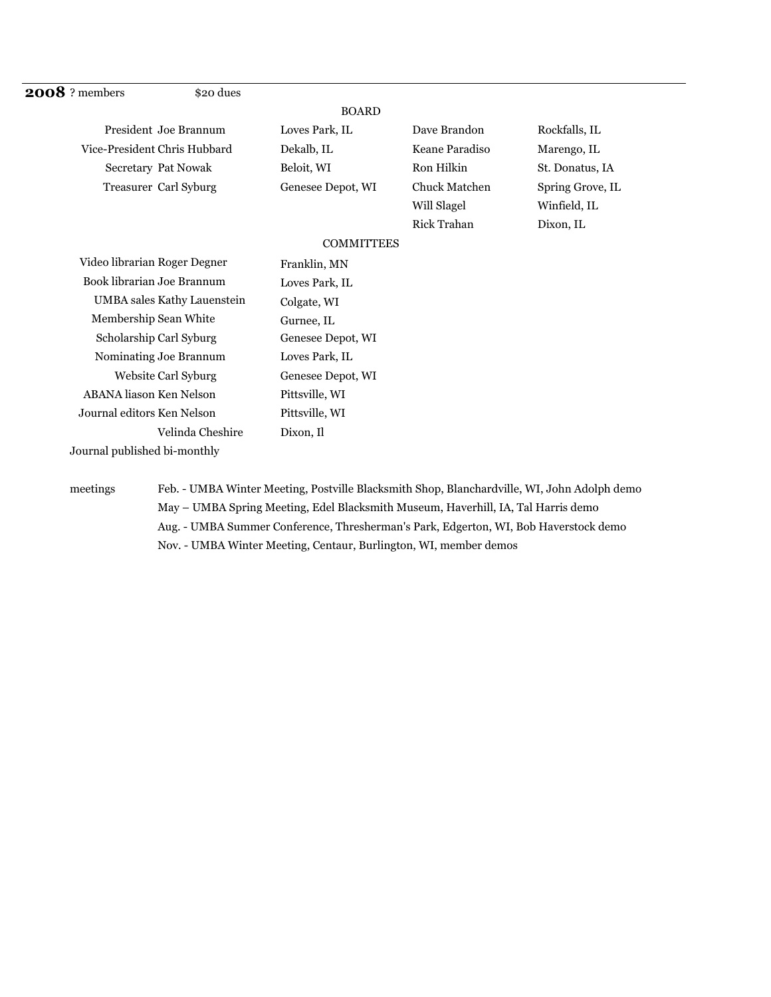| 2008? members                  | \$20 dues        |                   |                      |                  |
|--------------------------------|------------------|-------------------|----------------------|------------------|
|                                |                  | <b>BOARD</b>      |                      |                  |
| President Joe Brannum          |                  | Loves Park, IL    | Dave Brandon         | Rockfalls, IL    |
| Vice-President Chris Hubbard   |                  | Dekalb, IL        | Keane Paradiso       | Marengo, IL      |
| Secretary Pat Nowak            |                  | Beloit, WI        | Ron Hilkin           | St. Donatus, IA  |
| Treasurer Carl Syburg          |                  | Genesee Depot, WI | <b>Chuck Matchen</b> | Spring Grove, IL |
|                                |                  |                   | Will Slagel          | Winfield, IL     |
|                                |                  |                   | <b>Rick Trahan</b>   | Dixon, IL        |
|                                |                  | <b>COMMITTEES</b> |                      |                  |
| Video librarian Roger Degner   |                  | Franklin, MN      |                      |                  |
| Book librarian Joe Brannum     |                  | Loves Park, IL    |                      |                  |
| UMBA sales Kathy Lauenstein    |                  | Colgate, WI       |                      |                  |
| Membership Sean White          |                  | Gurnee, IL        |                      |                  |
| Scholarship Carl Syburg        |                  | Genesee Depot, WI |                      |                  |
| Nominating Joe Brannum         |                  | Loves Park, IL    |                      |                  |
| Website Carl Syburg            |                  | Genesee Depot, WI |                      |                  |
| <b>ABANA</b> liason Ken Nelson |                  | Pittsville, WI    |                      |                  |
| Journal editors Ken Nelson     |                  | Pittsville, WI    |                      |                  |
|                                | Velinda Cheshire | Dixon, Il         |                      |                  |
| Journal published bi-monthly   |                  |                   |                      |                  |

meetings Feb. - UMBA Winter Meeting, Postville Blacksmith Shop, Blanchardville, WI, John Adolph demo May – UMBA Spring Meeting, Edel Blacksmith Museum, Haverhill, IA, Tal Harris demo Aug. - UMBA Summer Conference, Thresherman's Park, Edgerton, WI, Bob Haverstock demo Nov. - UMBA Winter Meeting, Centaur, Burlington, WI, member demos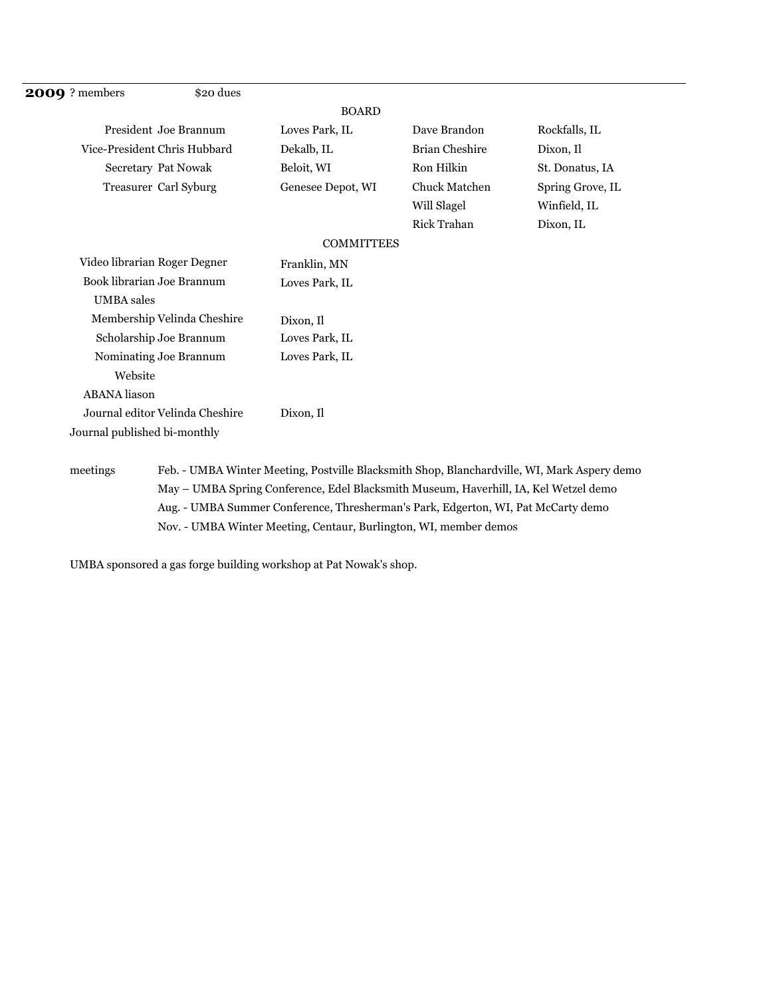| <b>2009</b> ? members           | \$20 dues                   |                   |                       |                  |
|---------------------------------|-----------------------------|-------------------|-----------------------|------------------|
|                                 |                             | <b>BOARD</b>      |                       |                  |
| President Joe Brannum           |                             | Loves Park, IL    | Dave Brandon          | Rockfalls, IL    |
| Vice-President Chris Hubbard    |                             | Dekalb, IL        | <b>Brian Cheshire</b> | Dixon, Il        |
| Secretary Pat Nowak             |                             | Beloit, WI        | Ron Hilkin            | St. Donatus, IA  |
| Treasurer Carl Syburg           |                             | Genesee Depot, WI | <b>Chuck Matchen</b>  | Spring Grove, IL |
|                                 |                             |                   | Will Slagel           | Winfield, IL     |
|                                 |                             |                   | <b>Rick Trahan</b>    | Dixon, IL        |
|                                 |                             | <b>COMMITTEES</b> |                       |                  |
| Video librarian Roger Degner    |                             | Franklin, MN      |                       |                  |
| Book librarian Joe Brannum      |                             | Loves Park, IL    |                       |                  |
| <b>UMBA</b> sales               |                             |                   |                       |                  |
|                                 | Membership Velinda Cheshire | Dixon, Il         |                       |                  |
| Scholarship Joe Brannum         |                             | Loves Park, IL    |                       |                  |
| Nominating Joe Brannum          |                             | Loves Park, IL    |                       |                  |
| Website                         |                             |                   |                       |                  |
| <b>ABANA</b> liason             |                             |                   |                       |                  |
| Journal editor Velinda Cheshire |                             | Dixon, Il         |                       |                  |
| Journal published bi-monthly    |                             |                   |                       |                  |
|                                 |                             |                   |                       |                  |

meetings Feb. - UMBA Winter Meeting, Postville Blacksmith Shop, Blanchardville, WI, Mark Aspery demo May – UMBA Spring Conference, Edel Blacksmith Museum, Haverhill, IA, Kel Wetzel demo Aug. - UMBA Summer Conference, Thresherman's Park, Edgerton, WI, Pat McCarty demo Nov. - UMBA Winter Meeting, Centaur, Burlington, WI, member demos

UMBA sponsored a gas forge building workshop at Pat Nowak's shop.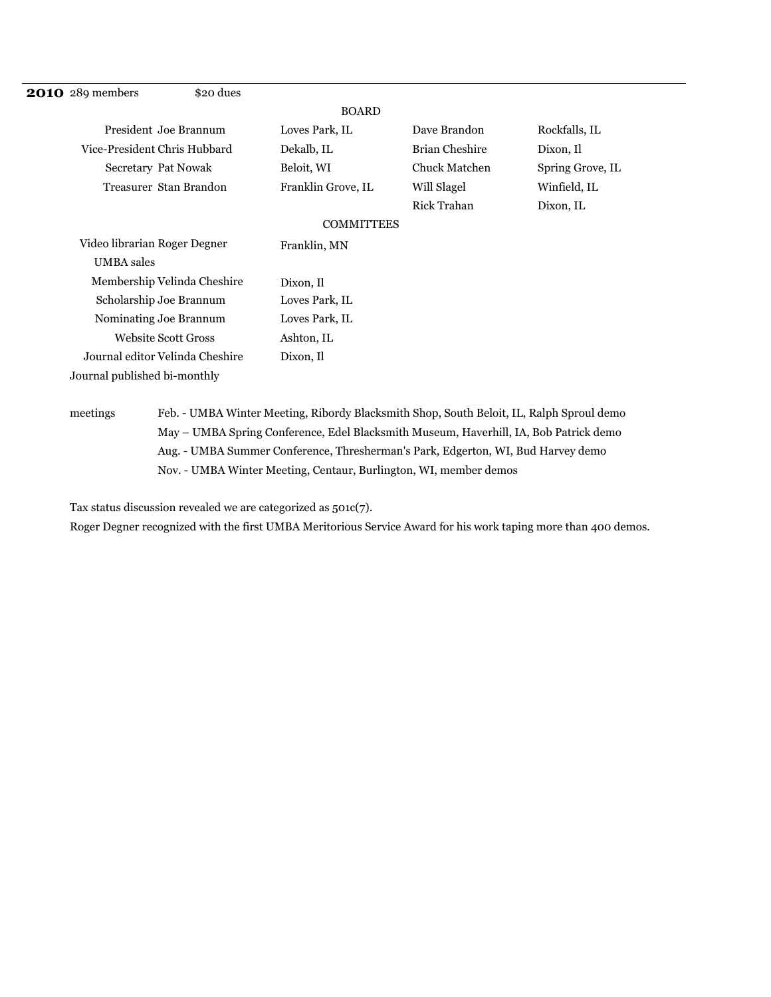| <b>2010</b> 289 members      | \$20 dues                       |                    |                      |                  |
|------------------------------|---------------------------------|--------------------|----------------------|------------------|
|                              |                                 | <b>BOARD</b>       |                      |                  |
|                              | President Joe Brannum           | Loves Park, IL     | Dave Brandon         | Rockfalls, IL    |
| Vice-President Chris Hubbard |                                 | Dekalb, IL         | Brian Cheshire       | Dixon, Il        |
| Secretary Pat Nowak          |                                 | Beloit, WI         | <b>Chuck Matchen</b> | Spring Grove, IL |
|                              | Treasurer Stan Brandon          | Franklin Grove, IL | Will Slagel          | Winfield, IL     |
|                              |                                 |                    | Rick Trahan          | Dixon, IL        |
|                              |                                 | <b>COMMITTEES</b>  |                      |                  |
| Video librarian Roger Degner |                                 | Franklin, MN       |                      |                  |
| <b>UMBA</b> sales            |                                 |                    |                      |                  |
|                              | Membership Velinda Cheshire     | Dixon, Il          |                      |                  |
| Scholarship Joe Brannum      |                                 | Loves Park, IL     |                      |                  |
| Nominating Joe Brannum       |                                 | Loves Park, IL     |                      |                  |
|                              | <b>Website Scott Gross</b>      | Ashton, IL         |                      |                  |
|                              | Journal editor Velinda Cheshire | Dixon, Il          |                      |                  |
| Journal published bi-monthly |                                 |                    |                      |                  |

## meetings Feb. - UMBA Winter Meeting, Ribordy Blacksmith Shop, South Beloit, IL, Ralph Sproul demo May – UMBA Spring Conference, Edel Blacksmith Museum, Haverhill, IA, Bob Patrick demo Aug. - UMBA Summer Conference, Thresherman's Park, Edgerton, WI, Bud Harvey demo Nov. - UMBA Winter Meeting, Centaur, Burlington, WI, member demos

Tax status discussion revealed we are categorized as 501c(7).

Roger Degner recognized with the first UMBA Meritorious Service Award for his work taping more than 400 demos.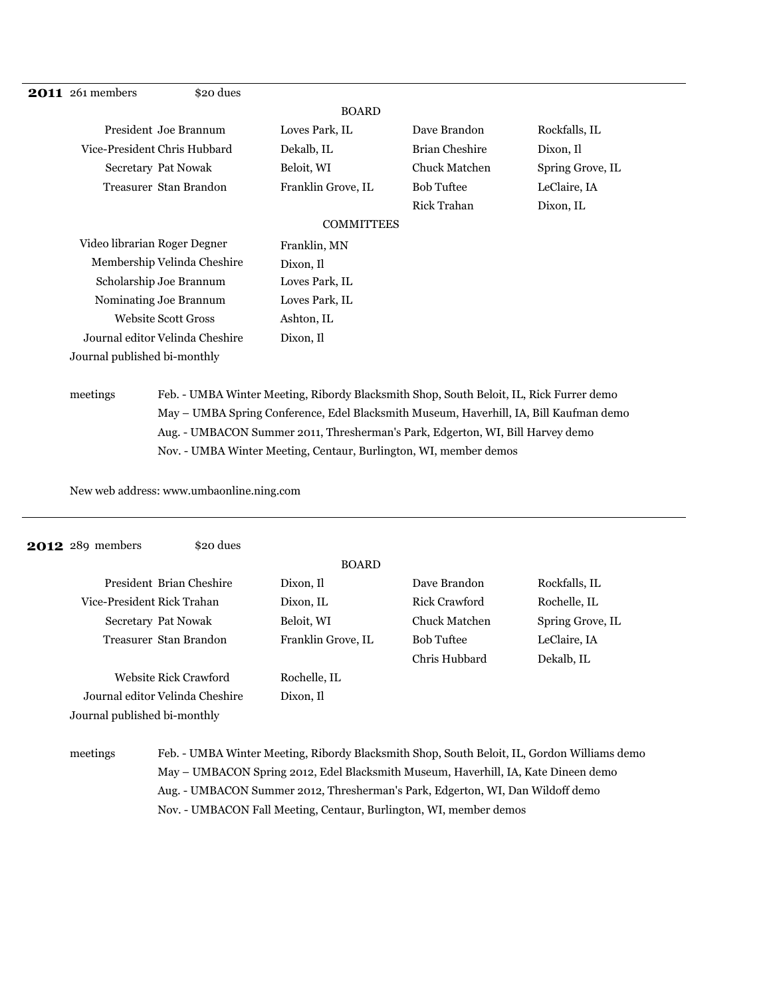| <b>2011</b> 261 members         | \$20 dues                   |                    |                       |                  |
|---------------------------------|-----------------------------|--------------------|-----------------------|------------------|
|                                 |                             | <b>BOARD</b>       |                       |                  |
| President Joe Brannum           |                             | Loves Park, IL     | Dave Brandon          | Rockfalls, IL    |
| Vice-President Chris Hubbard    |                             | Dekalb, IL         | <b>Brian Cheshire</b> | Dixon, Il        |
| Secretary Pat Nowak             |                             | Beloit, WI         | <b>Chuck Matchen</b>  | Spring Grove, IL |
| Treasurer Stan Brandon          |                             | Franklin Grove, IL | <b>Bob Tuftee</b>     | LeClaire, IA     |
|                                 |                             |                    | <b>Rick Trahan</b>    | Dixon, IL        |
|                                 |                             | <b>COMMITTEES</b>  |                       |                  |
| Video librarian Roger Degner    |                             | Franklin, MN       |                       |                  |
|                                 | Membership Velinda Cheshire | Dixon, Il          |                       |                  |
| Scholarship Joe Brannum         |                             | Loves Park, IL     |                       |                  |
| Nominating Joe Brannum          |                             | Loves Park, IL     |                       |                  |
| <b>Website Scott Gross</b>      |                             | Ashton, IL         |                       |                  |
| Journal editor Velinda Cheshire |                             | Dixon, Il          |                       |                  |
| Journal published bi-monthly    |                             |                    |                       |                  |

# meetings Feb. - UMBA Winter Meeting, Ribordy Blacksmith Shop, South Beloit, IL, Rick Furrer demo May – UMBA Spring Conference, Edel Blacksmith Museum, Haverhill, IA, Bill Kaufman demo Aug. - UMBACON Summer 2011, Thresherman's Park, Edgerton, WI, Bill Harvey demo Nov. - UMBA Winter Meeting, Centaur, Burlington, WI, member demos

New web address: www.umbaonline.ning.com

| <b>2012</b> 289 members |                                 | \$20 dues |                    |                   |                  |
|-------------------------|---------------------------------|-----------|--------------------|-------------------|------------------|
|                         |                                 |           | <b>BOARD</b>       |                   |                  |
|                         | President Brian Cheshire        |           | Dixon. Il          | Dave Brandon      | Rockfalls, IL    |
|                         | Vice-President Rick Trahan      |           | Dixon, IL          | Rick Crawford     | Rochelle, IL     |
|                         | <b>Secretary Pat Nowak</b>      |           | Beloit, WI         | Chuck Matchen     | Spring Grove, IL |
|                         | Treasurer Stan Brandon          |           | Franklin Grove, IL | <b>Bob Tuftee</b> | LeClaire, IA     |
|                         |                                 |           |                    | Chris Hubbard     | Dekalb, IL       |
|                         | Website Rick Crawford           |           | Rochelle, IL       |                   |                  |
|                         | Journal editor Velinda Cheshire |           | Dixon, Il          |                   |                  |
|                         | Journal published bi-monthly    |           |                    |                   |                  |
|                         |                                 |           |                    |                   |                  |

# meetings Feb. - UMBA Winter Meeting, Ribordy Blacksmith Shop, South Beloit, IL, Gordon Williams demo May – UMBACON Spring 2012, Edel Blacksmith Museum, Haverhill, IA, Kate Dineen demo Aug. - UMBACON Summer 2012, Thresherman's Park, Edgerton, WI, Dan Wildoff demo Nov. - UMBACON Fall Meeting, Centaur, Burlington, WI, member demos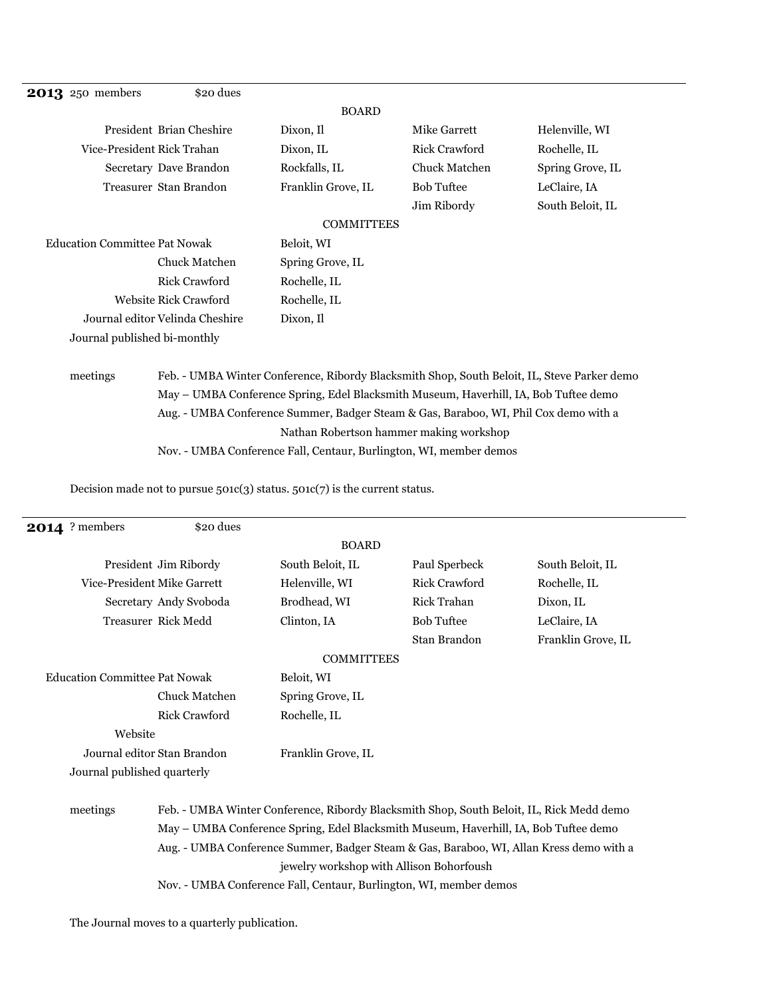| <b>2013</b> 250 members              | \$20 dues                       |                                                                                             |                      |                  |
|--------------------------------------|---------------------------------|---------------------------------------------------------------------------------------------|----------------------|------------------|
|                                      |                                 | <b>BOARD</b>                                                                                |                      |                  |
|                                      | President Brian Cheshire        | Dixon, Il                                                                                   | Mike Garrett         | Helenville, WI   |
| Vice-President Rick Trahan           |                                 | Dixon, IL                                                                                   | <b>Rick Crawford</b> | Rochelle, IL     |
|                                      | Secretary Dave Brandon          | Rockfalls, IL                                                                               | <b>Chuck Matchen</b> | Spring Grove, IL |
|                                      | Treasurer Stan Brandon          | Franklin Grove, IL                                                                          | <b>Bob Tuftee</b>    | LeClaire, IA     |
|                                      |                                 |                                                                                             | Jim Ribordy          | South Beloit, IL |
|                                      |                                 | <b>COMMITTEES</b>                                                                           |                      |                  |
| <b>Education Committee Pat Nowak</b> |                                 | Beloit, WI                                                                                  |                      |                  |
|                                      | <b>Chuck Matchen</b>            | Spring Grove, IL                                                                            |                      |                  |
|                                      | Rick Crawford                   | Rochelle, IL                                                                                |                      |                  |
|                                      | Website Rick Crawford           | Rochelle, IL                                                                                |                      |                  |
|                                      | Journal editor Velinda Cheshire | Dixon, Il                                                                                   |                      |                  |
| Journal published bi-monthly         |                                 |                                                                                             |                      |                  |
|                                      |                                 |                                                                                             |                      |                  |
| meetings                             |                                 | Feb. - UMBA Winter Conference, Ribordy Blacksmith Shop, South Beloit, IL, Steve Parker demo |                      |                  |
|                                      |                                 | May - UMBA Conference Spring, Edel Blacksmith Museum, Haverhill, IA, Bob Tuftee demo        |                      |                  |
|                                      |                                 |                                                                                             |                      |                  |

Aug. - UMBA Conference Summer, Badger Steam & Gas, Baraboo, WI, Phil Cox demo with a Nathan Robertson hammer making workshop

Nov. - UMBA Conference Fall, Centaur, Burlington, WI, member demos

Decision made not to pursue 501c(3) status. 501c(7) is the current status.

| <b>2014</b> ? members                | \$20 dues                                                                               |                                                                                          |                    |                    |  |  |
|--------------------------------------|-----------------------------------------------------------------------------------------|------------------------------------------------------------------------------------------|--------------------|--------------------|--|--|
|                                      |                                                                                         | <b>BOARD</b>                                                                             |                    |                    |  |  |
|                                      | President Jim Ribordy                                                                   | South Beloit, IL                                                                         | Paul Sperbeck      | South Beloit, IL   |  |  |
| Vice-President Mike Garrett          |                                                                                         | Helenville, WI                                                                           | Rick Crawford      | Rochelle, IL       |  |  |
|                                      | Secretary Andy Svoboda                                                                  | Brodhead, WI                                                                             | <b>Rick Trahan</b> | Dixon, IL          |  |  |
| Treasurer Rick Medd                  |                                                                                         | Clinton, IA                                                                              | <b>Bob Tuftee</b>  | LeClaire, IA       |  |  |
|                                      |                                                                                         |                                                                                          | Stan Brandon       | Franklin Grove, IL |  |  |
|                                      |                                                                                         | <b>COMMITTEES</b>                                                                        |                    |                    |  |  |
| <b>Education Committee Pat Nowak</b> |                                                                                         | Beloit, WI                                                                               |                    |                    |  |  |
|                                      | <b>Chuck Matchen</b>                                                                    | Spring Grove, IL                                                                         |                    |                    |  |  |
|                                      | <b>Rick Crawford</b>                                                                    | Rochelle, IL                                                                             |                    |                    |  |  |
| Website                              |                                                                                         |                                                                                          |                    |                    |  |  |
| Journal editor Stan Brandon.         |                                                                                         | Franklin Grove, IL                                                                       |                    |                    |  |  |
| Journal published quarterly          |                                                                                         |                                                                                          |                    |                    |  |  |
| meetings                             |                                                                                         | Feb. - UMBA Winter Conference, Ribordy Blacksmith Shop, South Beloit, IL, Rick Medd demo |                    |                    |  |  |
|                                      | May - UMBA Conference Spring, Edel Blacksmith Museum, Haverhill, IA, Bob Tuftee demo    |                                                                                          |                    |                    |  |  |
|                                      | Aug. - UMBA Conference Summer, Badger Steam & Gas, Baraboo, WI, Allan Kress demo with a |                                                                                          |                    |                    |  |  |
|                                      |                                                                                         | jewelry workshop with Allison Bohorfoush                                                 |                    |                    |  |  |
|                                      | Nov. - UMBA Conference Fall, Centaur, Burlington, WI, member demos                      |                                                                                          |                    |                    |  |  |

The Journal moves to a quarterly publication.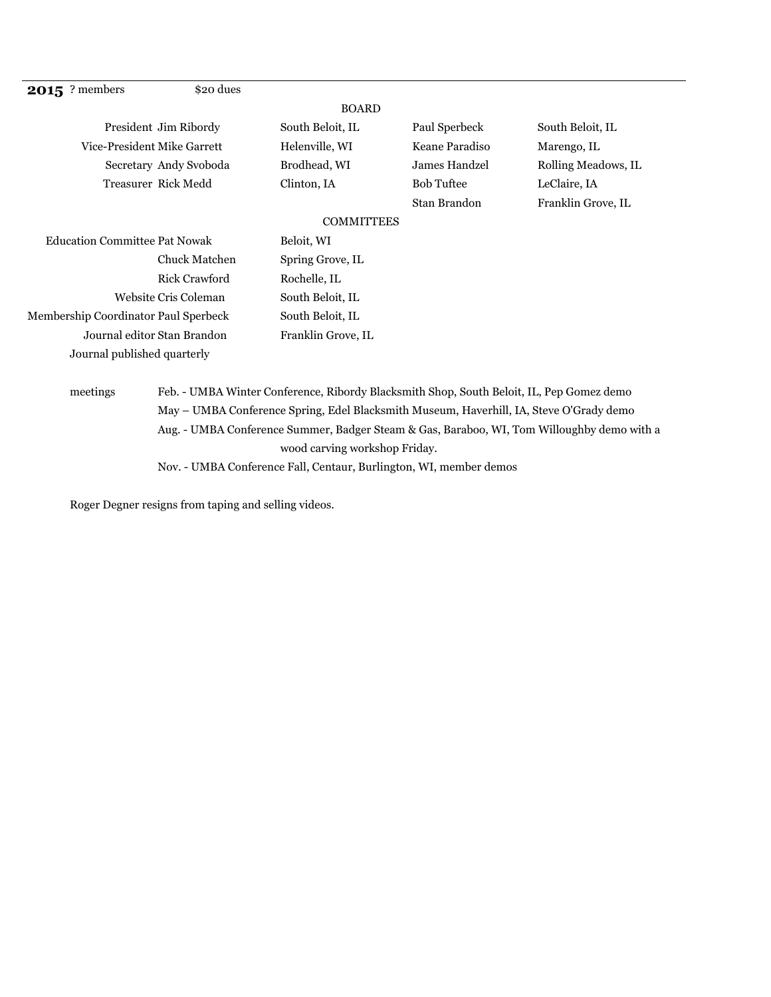| <b>2015</b> ? members                | \$20 dues              |                                                                                          |                   |                     |
|--------------------------------------|------------------------|------------------------------------------------------------------------------------------|-------------------|---------------------|
|                                      |                        | <b>BOARD</b>                                                                             |                   |                     |
|                                      | President Jim Ribordy  | South Beloit, IL                                                                         | Paul Sperbeck     | South Beloit, IL    |
| Vice-President Mike Garrett          |                        | Helenville, WI                                                                           | Keane Paradiso    | Marengo, IL         |
|                                      | Secretary Andy Svoboda | Brodhead, WI                                                                             | James Handzel     | Rolling Meadows, IL |
|                                      | Treasurer Rick Medd    | Clinton, IA                                                                              | <b>Bob Tuftee</b> | LeClaire, IA        |
|                                      |                        |                                                                                          | Stan Brandon      | Franklin Grove, IL  |
|                                      |                        | <b>COMMITTEES</b>                                                                        |                   |                     |
| <b>Education Committee Pat Nowak</b> |                        | Beloit, WI                                                                               |                   |                     |
|                                      | <b>Chuck Matchen</b>   | Spring Grove, IL                                                                         |                   |                     |
|                                      | Rick Crawford          | Rochelle, IL                                                                             |                   |                     |
| Website Cris Coleman                 |                        | South Beloit, IL                                                                         |                   |                     |
| Membership Coordinator Paul Sperbeck |                        | South Beloit, IL                                                                         |                   |                     |
| Journal editor Stan Brandon          |                        | Franklin Grove, IL                                                                       |                   |                     |
| Journal published quarterly          |                        |                                                                                          |                   |                     |
|                                      |                        |                                                                                          |                   |                     |
| meetings                             |                        | Feb. - UMBA Winter Conference, Ribordy Blacksmith Shop, South Beloit, IL, Pep Gomez demo |                   |                     |
|                                      |                        | $\mathbf{r}_1$                                                                           |                   |                     |

May – UMBA Conference Spring, Edel Blacksmith Museum, Haverhill, IA, Steve O'Grady demo Aug. - UMBA Conference Summer, Badger Steam & Gas, Baraboo, WI, Tom Willoughby demo with a wood carving workshop Friday.

Nov. - UMBA Conference Fall, Centaur, Burlington, WI, member demos

Roger Degner resigns from taping and selling videos.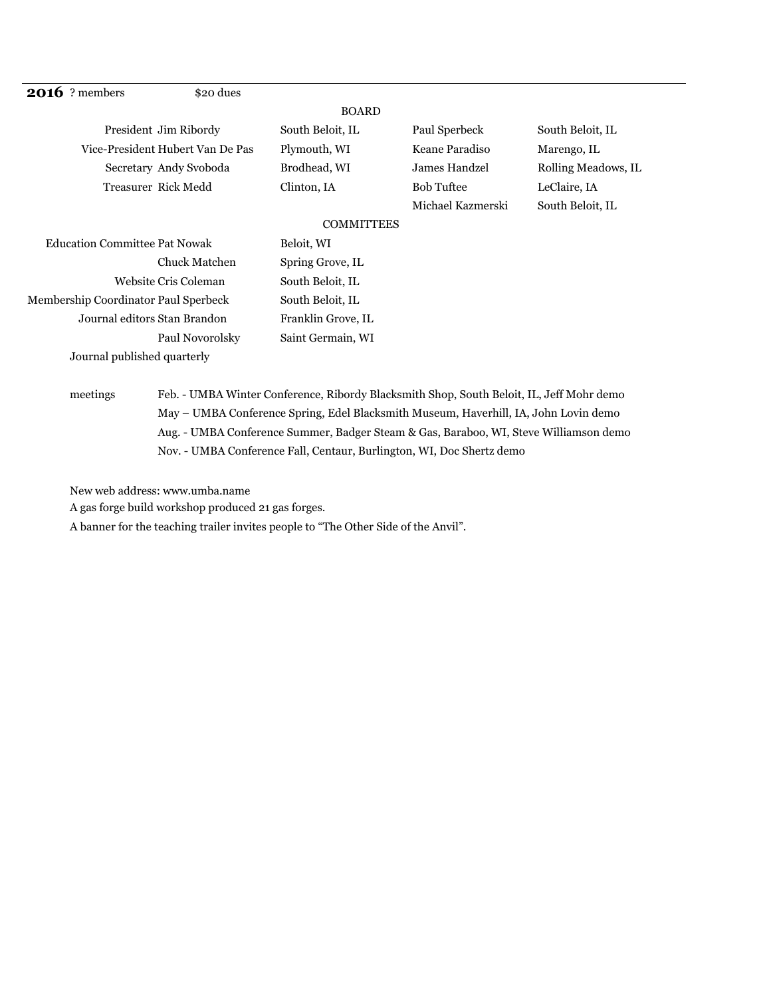| <b>2016</b> ? members                | \$20 dues              |                    |                   |                     |
|--------------------------------------|------------------------|--------------------|-------------------|---------------------|
|                                      |                        | <b>BOARD</b>       |                   |                     |
| President Jim Ribordy                |                        | South Beloit, IL   | Paul Sperbeck     | South Beloit, IL    |
| Vice-President Hubert Van De Pas     |                        | Plymouth, WI       | Keane Paradiso    | Marengo, IL         |
|                                      | Secretary Andy Svoboda | Brodhead, WI       | James Handzel     | Rolling Meadows, IL |
| Treasurer Rick Medd                  |                        | Clinton, IA        | <b>Bob Tuftee</b> | LeClaire, IA        |
|                                      |                        |                    | Michael Kazmerski | South Beloit, IL    |
|                                      |                        | <b>COMMITTEES</b>  |                   |                     |
| <b>Education Committee Pat Nowak</b> |                        | Beloit, WI         |                   |                     |
|                                      | Chuck Matchen          | Spring Grove, IL   |                   |                     |
| Website Cris Coleman                 |                        | South Beloit, IL   |                   |                     |
| Membership Coordinator Paul Sperbeck |                        | South Beloit, IL   |                   |                     |
| Journal editors Stan Brandon         |                        | Franklin Grove, IL |                   |                     |
|                                      | Paul Novorolsky        | Saint Germain, WI  |                   |                     |
| Journal published quarterly          |                        |                    |                   |                     |

## meetings Feb. - UMBA Winter Conference, Ribordy Blacksmith Shop, South Beloit, IL, Jeff Mohr demo May – UMBA Conference Spring, Edel Blacksmith Museum, Haverhill, IA, John Lovin demo Aug. - UMBA Conference Summer, Badger Steam & Gas, Baraboo, WI, Steve Williamson demo Nov. - UMBA Conference Fall, Centaur, Burlington, WI, Doc Shertz demo

New web address: www.umba.name

A gas forge build workshop produced 21 gas forges.

A banner for the teaching trailer invites people to "The Other Side of the Anvil".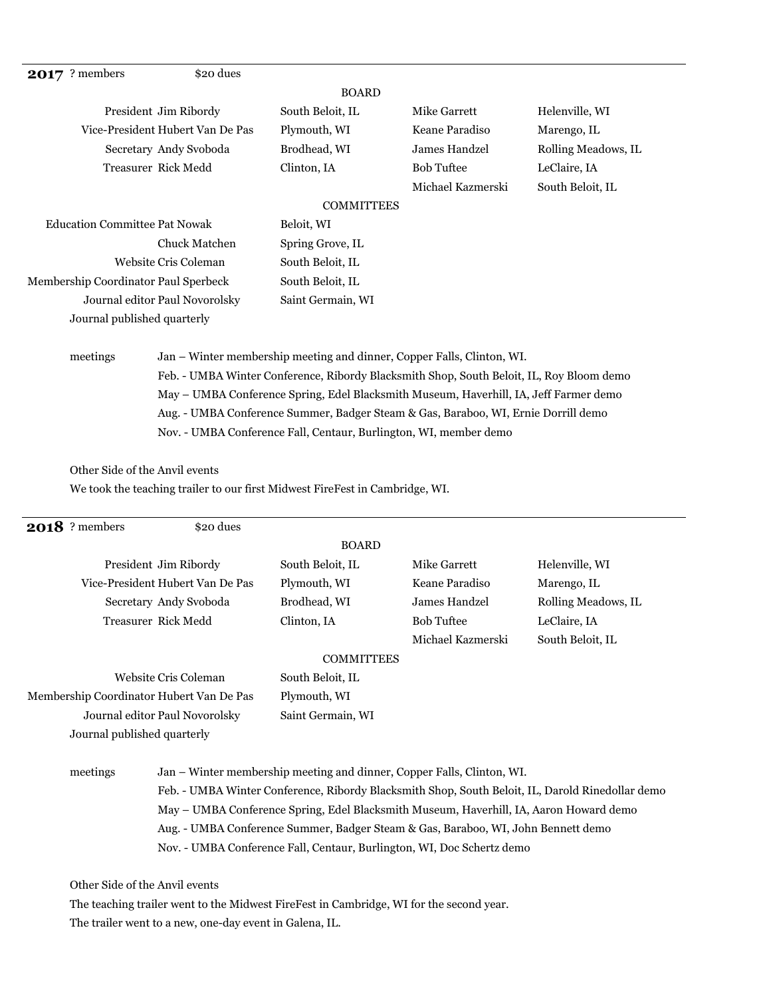| \$20 dues<br>? members<br>2017       |                   |                   |                     |
|--------------------------------------|-------------------|-------------------|---------------------|
|                                      | <b>BOARD</b>      |                   |                     |
| President Jim Ribordy                | South Beloit, IL  | Mike Garrett      | Helenville, WI      |
| Vice-President Hubert Van De Pas     | Plymouth, WI      | Keane Paradiso    | Marengo, IL         |
| Secretary Andy Svoboda               | Brodhead, WI      | James Handzel     | Rolling Meadows, IL |
| Treasurer Rick Medd                  | Clinton, IA       | <b>Bob Tuftee</b> | LeClaire, IA        |
|                                      |                   | Michael Kazmerski | South Beloit, IL    |
|                                      | <b>COMMITTEES</b> |                   |                     |
| <b>Education Committee Pat Nowak</b> | Beloit, WI        |                   |                     |
| Chuck Matchen                        | Spring Grove, IL  |                   |                     |
| Website Cris Coleman                 | South Beloit, IL  |                   |                     |
| Membership Coordinator Paul Sperbeck | South Beloit, IL  |                   |                     |

Feb. - UMBA Winter Conference, Ribordy Blacksmith Shop, South Beloit, IL, Roy Bloom demo May – UMBA Conference Spring, Edel Blacksmith Museum, Haverhill, IA, Jeff Farmer demo Aug. - UMBA Conference Summer, Badger Steam & Gas, Baraboo, WI, Ernie Dorrill demo

Other Side of the Anvil events

Journal published quarterly

We took the teaching trailer to our first Midwest FireFest in Cambridge, WI.

meetings Jan – Winter membership meeting and dinner, Copper Falls, Clinton, WI.

Nov. - UMBA Conference Fall, Centaur, Burlington, WI, member demo

Journal editor Paul Novorolsky Saint Germain, WI

| <b>2018</b> ? members                    | \$20 dues                                                                              |                                                                                                  |                                                                                   |                     |  |
|------------------------------------------|----------------------------------------------------------------------------------------|--------------------------------------------------------------------------------------------------|-----------------------------------------------------------------------------------|---------------------|--|
|                                          |                                                                                        | <b>BOARD</b>                                                                                     |                                                                                   |                     |  |
|                                          | President Jim Ribordy                                                                  | South Beloit, IL                                                                                 | Mike Garrett                                                                      | Helenville, WI      |  |
|                                          | Vice-President Hubert Van De Pas                                                       | Plymouth, WI                                                                                     | Keane Paradiso                                                                    | Marengo, IL         |  |
|                                          | Secretary Andy Svoboda                                                                 | Brodhead, WI                                                                                     | <b>James Handzel</b>                                                              | Rolling Meadows, IL |  |
|                                          | Treasurer Rick Medd                                                                    | Clinton, IA                                                                                      | <b>Bob Tuftee</b>                                                                 | LeClaire, IA        |  |
|                                          |                                                                                        |                                                                                                  | Michael Kazmerski                                                                 | South Beloit, IL    |  |
|                                          |                                                                                        | <b>COMMITTEES</b>                                                                                |                                                                                   |                     |  |
| Website Cris Coleman                     |                                                                                        | South Beloit, IL                                                                                 |                                                                                   |                     |  |
| Membership Coordinator Hubert Van De Pas |                                                                                        | Plymouth, WI                                                                                     |                                                                                   |                     |  |
| Journal editor Paul Novorolsky           |                                                                                        | Saint Germain, WI                                                                                |                                                                                   |                     |  |
| Journal published quarterly              |                                                                                        |                                                                                                  |                                                                                   |                     |  |
| meetings                                 |                                                                                        |                                                                                                  | Jan – Winter membership meeting and dinner, Copper Falls, Clinton, WI.            |                     |  |
|                                          |                                                                                        | Feb. - UMBA Winter Conference, Ribordy Blacksmith Shop, South Beloit, IL, Darold Rinedollar demo |                                                                                   |                     |  |
|                                          | May - UMBA Conference Spring, Edel Blacksmith Museum, Haverhill, IA, Aaron Howard demo |                                                                                                  |                                                                                   |                     |  |
|                                          |                                                                                        |                                                                                                  | Aug. - UMBA Conference Summer, Badger Steam & Gas, Baraboo, WI, John Bennett demo |                     |  |
|                                          |                                                                                        |                                                                                                  | Nov. - UMBA Conference Fall, Centaur, Burlington, WI, Doc Schertz demo            |                     |  |

The trailer went to a new, one-day event in Galena, IL.